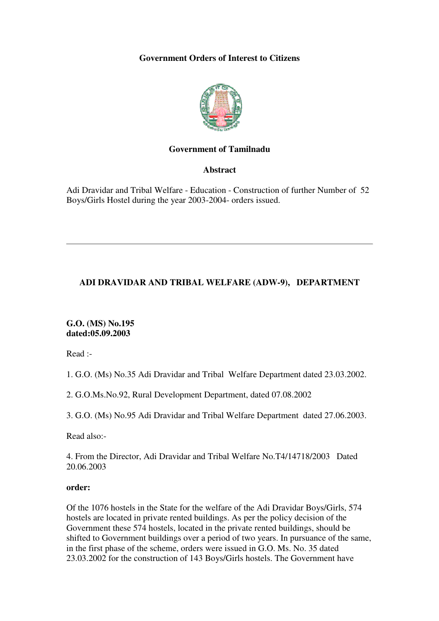# **Government Orders of Interest to Citizens**



#### **Government of Tamilnadu**

**Abstract**

Adi Dravidar and Tribal Welfare - Education - Construction of further Number of 52 Boys/Girls Hostel during the year 2003-2004- orders issued.

# **ADI DRAVIDAR AND TRIBAL WELFARE (ADW-9), DEPARTMENT**

**G.O. (MS) No.195 dated:05.09.2003** 

Read :-

1. G.O. (Ms) No.35 Adi Dravidar and Tribal Welfare Department dated 23.03.2002.

2. G.O.Ms.No.92, Rural Development Department, dated 07.08.2002

3. G.O. (Ms) No.95 Adi Dravidar and Tribal Welfare Department dated 27.06.2003.

Read also:-

4. From the Director, Adi Dravidar and Tribal Welfare No.T4/14718/2003 Dated 20.06.2003

#### **order:**

Of the 1076 hostels in the State for the welfare of the Adi Dravidar Boys/Girls, 574 hostels are located in private rented buildings. As per the policy decision of the Government these 574 hostels, located in the private rented buildings, should be shifted to Government buildings over a period of two years. In pursuance of the same, in the first phase of the scheme, orders were issued in G.O. Ms. No. 35 dated 23.03.2002 for the construction of 143 Boys/Girls hostels. The Government have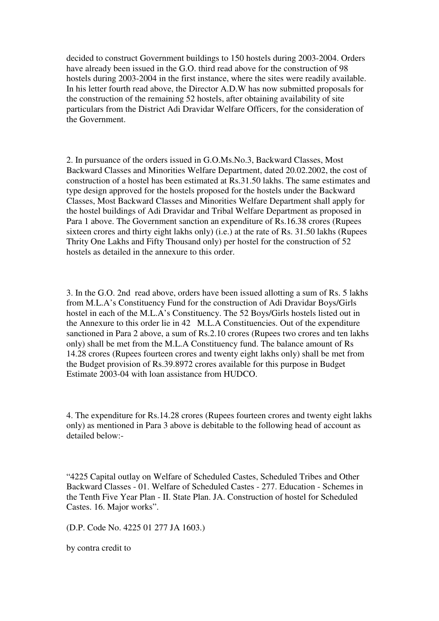decided to construct Government buildings to 150 hostels during 2003-2004. Orders have already been issued in the G.O. third read above for the construction of 98 hostels during 2003-2004 in the first instance, where the sites were readily available. In his letter fourth read above, the Director A.D.W has now submitted proposals for the construction of the remaining 52 hostels, after obtaining availability of site particulars from the District Adi Dravidar Welfare Officers, for the consideration of the Government.

2. In pursuance of the orders issued in G.O.Ms.No.3, Backward Classes, Most Backward Classes and Minorities Welfare Department, dated 20.02.2002, the cost of construction of a hostel has been estimated at Rs.31.50 lakhs. The same estimates and type design approved for the hostels proposed for the hostels under the Backward Classes, Most Backward Classes and Minorities Welfare Department shall apply for the hostel buildings of Adi Dravidar and Tribal Welfare Department as proposed in Para 1 above. The Government sanction an expenditure of Rs.16.38 crores (Rupees sixteen crores and thirty eight lakhs only) (i.e.) at the rate of Rs. 31.50 lakhs (Rupees Thrity One Lakhs and Fifty Thousand only) per hostel for the construction of 52 hostels as detailed in the annexure to this order.

3. In the G.O. 2nd read above, orders have been issued allotting a sum of Rs. 5 lakhs from M.L.A's Constituency Fund for the construction of Adi Dravidar Boys/Girls hostel in each of the M.L.A's Constituency. The 52 Boys/Girls hostels listed out in the Annexure to this order lie in 42 M.L.A Constituencies. Out of the expenditure sanctioned in Para 2 above, a sum of Rs.2.10 crores (Rupees two crores and ten lakhs only) shall be met from the M.L.A Constituency fund. The balance amount of Rs 14.28 crores (Rupees fourteen crores and twenty eight lakhs only) shall be met from the Budget provision of Rs.39.8972 crores available for this purpose in Budget Estimate 2003-04 with loan assistance from HUDCO.

4. The expenditure for Rs.14.28 crores (Rupees fourteen crores and twenty eight lakhs only) as mentioned in Para 3 above is debitable to the following head of account as detailed below:-

"4225 Capital outlay on Welfare of Scheduled Castes, Scheduled Tribes and Other Backward Classes - 01. Welfare of Scheduled Castes - 277. Education - Schemes in the Tenth Five Year Plan - II. State Plan. JA. Construction of hostel for Scheduled Castes. 16. Major works".

(D.P. Code No. 4225 01 277 JA 1603.)

by contra credit to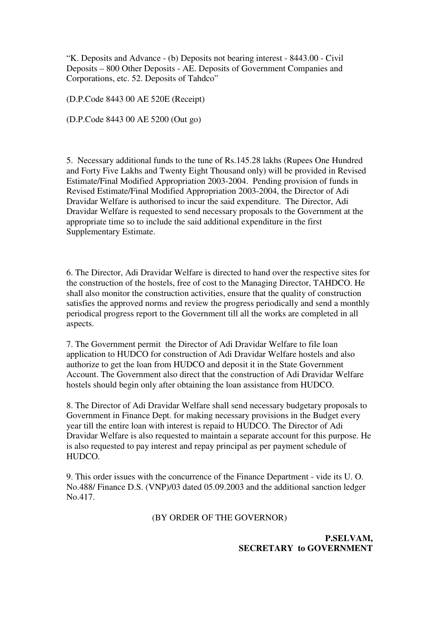"K. Deposits and Advance - (b) Deposits not bearing interest - 8443.00 - Civil Deposits – 800 Other Deposits - AE. Deposits of Government Companies and Corporations, etc. 52. Deposits of Tahdco"

(D.P.Code 8443 00 AE 520E (Receipt)

(D.P.Code 8443 00 AE 5200 (Out go)

5. Necessary additional funds to the tune of Rs.145.28 lakhs (Rupees One Hundred and Forty Five Lakhs and Twenty Eight Thousand only) will be provided in Revised Estimate/Final Modified Appropriation 2003-2004. Pending provision of funds in Revised Estimate/Final Modified Appropriation 2003-2004, the Director of Adi Dravidar Welfare is authorised to incur the said expenditure. The Director, Adi Dravidar Welfare is requested to send necessary proposals to the Government at the appropriate time so to include the said additional expenditure in the first Supplementary Estimate.

6. The Director, Adi Dravidar Welfare is directed to hand over the respective sites for the construction of the hostels, free of cost to the Managing Director, TAHDCO. He shall also monitor the construction activities, ensure that the quality of construction satisfies the approved norms and review the progress periodically and send a monthly periodical progress report to the Government till all the works are completed in all aspects.

7. The Government permit the Director of Adi Dravidar Welfare to file loan application to HUDCO for construction of Adi Dravidar Welfare hostels and also authorize to get the loan from HUDCO and deposit it in the State Government Account. The Government also direct that the construction of Adi Dravidar Welfare hostels should begin only after obtaining the loan assistance from HUDCO.

8. The Director of Adi Dravidar Welfare shall send necessary budgetary proposals to Government in Finance Dept. for making necessary provisions in the Budget every year till the entire loan with interest is repaid to HUDCO. The Director of Adi Dravidar Welfare is also requested to maintain a separate account for this purpose. He is also requested to pay interest and repay principal as per payment schedule of HUDCO.

9. This order issues with the concurrence of the Finance Department - vide its U. O. No.488/ Finance D.S. (VNP)/03 dated 05.09.2003 and the additional sanction ledger No.417.

#### (BY ORDER OF THE GOVERNOR)

**P.SELVAM, SECRETARY to GOVERNMENT**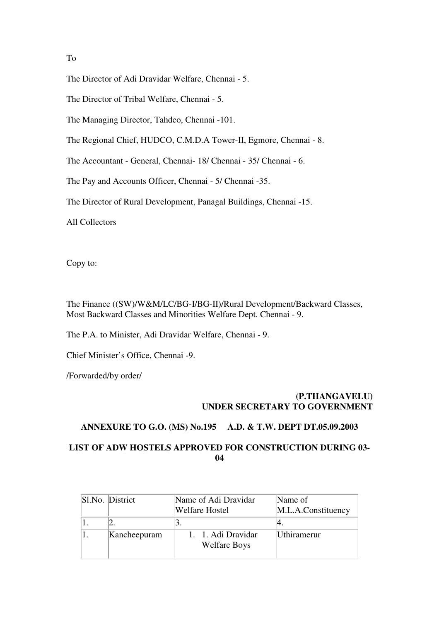To

The Director of Adi Dravidar Welfare, Chennai - 5.

The Director of Tribal Welfare, Chennai - 5.

The Managing Director, Tahdco, Chennai -101.

The Regional Chief, HUDCO, C.M.D.A Tower-II, Egmore, Chennai - 8.

The Accountant - General, Chennai- 18/ Chennai - 35/ Chennai - 6.

The Pay and Accounts Officer, Chennai - 5/ Chennai -35.

The Director of Rural Development, Panagal Buildings, Chennai -15.

All Collectors

Copy to:

The Finance ((SW)/W&M/LC/BG-I/BG-II)/Rural Development/Backward Classes, Most Backward Classes and Minorities Welfare Dept. Chennai - 9.

The P.A. to Minister, Adi Dravidar Welfare, Chennai - 9.

Chief Minister's Office, Chennai -9.

/Forwarded/by order/

# **(P.THANGAVELU) UNDER SECRETARY TO GOVERNMENT**

#### **ANNEXURE TO G.O. (MS) No.195 A.D. & T.W. DEPT DT.05.09.2003**

# **LIST OF ADW HOSTELS APPROVED FOR CONSTRUCTION DURING 03- 04**

| Sl.No. District | Name of Adi Dravidar<br><b>Welfare Hostel</b> | Name of<br>M.L.A.Constituency |
|-----------------|-----------------------------------------------|-------------------------------|
|                 |                                               |                               |
| Kancheepuram    | 1. 1. Adi Dravidar<br><b>Welfare Boys</b>     | <b>Uthiramerur</b>            |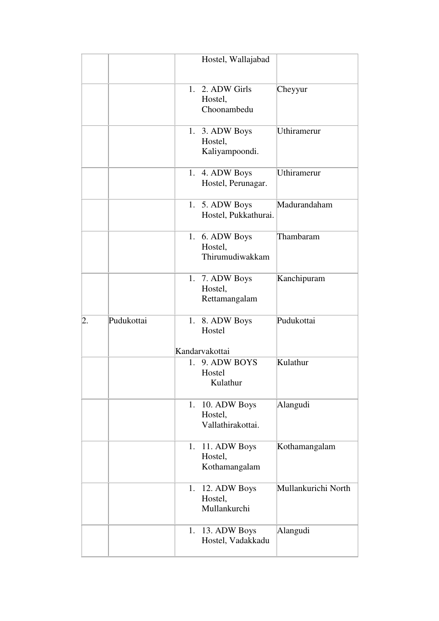|    |            |    | Hostel, Wallajabad                           |                     |
|----|------------|----|----------------------------------------------|---------------------|
|    |            | 1. | 2. ADW Girls<br>Hostel,<br>Choonambedu       | Cheyyur             |
|    |            |    | 1. 3. ADW Boys<br>Hostel,<br>Kaliyampoondi.  | Uthiramerur         |
|    |            | 1. | 4. ADW Boys<br>Hostel, Perunagar.            | Uthiramerur         |
|    |            | 1. | 5. ADW Boys<br>Hostel, Pukkathurai.          | Madurandaham        |
|    |            |    | 1. 6. ADW Boys<br>Hostel,<br>Thirumudiwakkam | Thambaram           |
|    |            |    | 1. 7. ADW Boys<br>Hostel,<br>Rettamangalam   | Kanchipuram         |
| 2. | Pudukottai |    | 1. 8. ADW Boys<br>Hostel<br>Kandarvakottai   | Pudukottai          |
|    |            | 1. | 9. ADW BOYS<br>Hostel<br>Kulathur            | Kulathur            |
|    |            | 1. | 10. ADW Boys<br>Hostel,<br>Vallathirakottai. | Alangudi            |
|    |            | 1. | 11. ADW Boys<br>Hostel,<br>Kothamangalam     | Kothamangalam       |
|    |            | 1. | 12. ADW Boys<br>Hostel,<br>Mullankurchi      | Mullankurichi North |
|    |            | 1. | 13. ADW Boys<br>Hostel, Vadakkadu            | Alangudi            |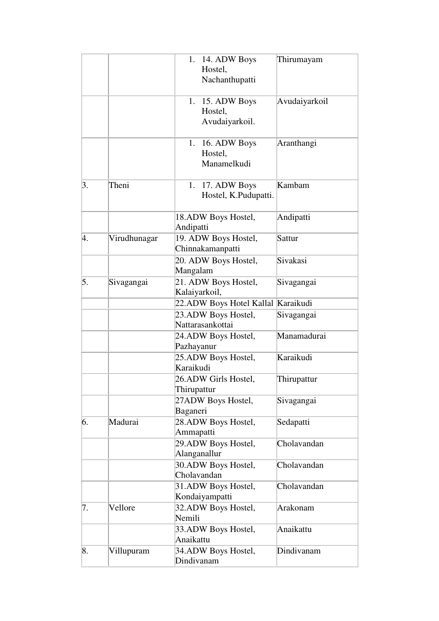|    |              | 14. ADW Boys<br>1.<br>Hostel,<br>Nachanthupatti | Thirumayam    |
|----|--------------|-------------------------------------------------|---------------|
|    |              | 15. ADW Boys<br>1.<br>Hostel,<br>Avudaiyarkoil. | Avudaiyarkoil |
|    |              | 16. ADW Boys<br>1.<br>Hostel,<br>Manamelkudi    | Aranthangi    |
| 3. | Theni        | 17. ADW Boys<br>1.<br>Hostel, K.Pudupatti.      | Kambam        |
|    |              | 18.ADW Boys Hostel,<br>Andipatti                | Andipatti     |
| 4. | Virudhunagar | 19. ADW Boys Hostel,<br>Chinnakamanpatti        | Sattur        |
|    |              | 20. ADW Boys Hostel,<br>Mangalam                | Sivakasi      |
| 5. | Sivagangai   | 21. ADW Boys Hostel,<br>Kalaiyarkoil,           | Sivagangai    |
|    |              | 22.ADW Boys Hotel Kallal Karaikudi              |               |
|    |              | 23.ADW Boys Hostel,<br>Nattarasankottai         | Sivagangai    |
|    |              | 24.ADW Boys Hostel,<br>Pazhayanur               | Manamadurai   |
|    |              | 25.ADW Boys Hostel,<br>Karaikudi                | Karaikudi     |
|    |              | 26.ADW Girls Hostel,<br>Thirupattur             | Thirupattur   |
|    |              | 27ADW Boys Hostel,<br>Baganeri                  | Sivagangai    |
| 6. | Madurai      | 28.ADW Boys Hostel,<br>Ammapatti                | Sedapatti     |
|    |              | 29.ADW Boys Hostel,<br>Alanganallur             | Cholavandan   |
|    |              | 30.ADW Boys Hostel,<br>Cholavandan              | Cholavandan   |
|    |              | 31.ADW Boys Hostel,<br>Kondaiyampatti           | Cholavandan   |
| 7. | Vellore      | 32.ADW Boys Hostel,<br>Nemili                   | Arakonam      |
|    |              | 33.ADW Boys Hostel,<br>Anaikattu                | Anaikattu     |
| 8. | Villupuram   | 34.ADW Boys Hostel,<br>Dindivanam               | Dindivanam    |